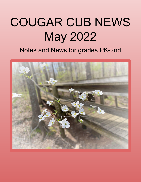# COUGAR CUB NEWS May 2022

## Notes and News for grades PK-2nd

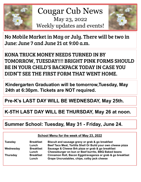

 Cougar Cub News May 23, 2022 Weekly updates and events!



No Mobile Market in May or July. There will be two in June: June 7 and June 21 at 9:00 a.m.

KONA TRUCK MONEY NEEDS TURNED IN BY TOMORROW, TUESDAY!!!! BRIGHT PINK FORMS SHOULD BE IN YOUR CHILD'S BACKPACK TODAY IN CASE YOU DIDN'T SEE THE FIRST FORM THAT WENT HOME.

**Kindergarten Graduation will be tomorrow,Tuesday, May 24th at 6:30pm. Tickets are NOT required.** 

**Pre-K's LAST DAY WILL BE WEDNESDAY, May 25th.** 

**K-5TH LAST DAY WILL BE THURSDAY, May 26 at noon.** 

## **Summer School: Tuesday, May 31 - Friday, June 24.**

| School Menu for the week of May 23, 2022 |  |  |
|------------------------------------------|--|--|
|                                          |  |  |

| <b>Tuesday</b>  | <b>Breakfast</b><br>Lunch | Biscuit and sausage gravy or grab & go breakfast<br>Beef Taco Meat, Tortilla Shell Or Build your own cheese pizza |
|-----------------|---------------------------|-------------------------------------------------------------------------------------------------------------------|
| Wednesday       | <b>Breakfast</b>          | Sausage & Cheese Brk pizza or grab & go breakfast                                                                 |
|                 | Lunch                     | Cheeseburger on bun or Beef burrito, BBQ Baked beans                                                              |
| <b>Thursday</b> | <b>Breakfast</b><br>Lunch | Cinnamon Roll, Bacon Eggstravaganza or grab & go breakfast<br>Grape Uncrustables, chips, colby jack cheese        |